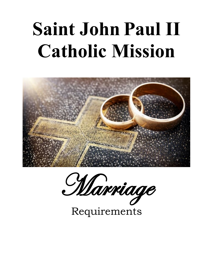# **Saint John Paul II Catholic Mission**



Marriage

Requirements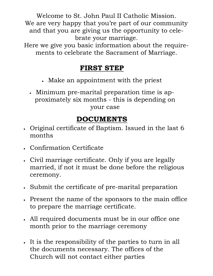Welcome to St. John Paul II Catholic Mission. We are very happy that you're part of our community and that you are giving us the opportunity to celebrate your marriage.

Here we give you basic information about the requirements to celebrate the Sacrament of Marriage.

## **FIRST STEP**

- Make an appointment with the priest
- Minimum pre-marital preparation time is approximately six months - this is depending on your case

## **DOCUMENTS**

- Original certificate of Baptism. Issued in the last 6 months
- Confirmation Certificate
- Civil marriage certificate. Only if you are legally married, if not it must be done before the religious ceremony.
- Submit the certificate of pre-marital preparation
- Present the name of the sponsors to the main office to prepare the marriage certificate.
- All required documents must be in our office one month prior to the marriage ceremony
- It is the responsibility of the parties to turn in all the documents necessary. The offices of the Church will not contact either parties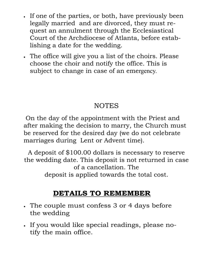- If one of the parties, or both, have previously been legally married and are divorced, they must request an annulment through the Ecclesiastical Court of the Archdiocese of Atlanta, before establishing a date for the wedding.
- The office will give you a list of the choirs. Please choose the choir and notify the office. This is subject to change in case of an emergency.

# NOTES

On the day of the appointment with the Priest and after making the decision to marry, the Church must be reserved for the desired day (we do not celebrate marriages during Lent or Advent time).

A deposit of \$100.00 dollars is necessary to reserve the wedding date. This deposit is not returned in case of a cancellation. The deposit is applied towards the total cost.

# **DETAILS TO REMEMBER**

- The couple must confess 3 or 4 days before the wedding
- If you would like special readings, please notify the main office.